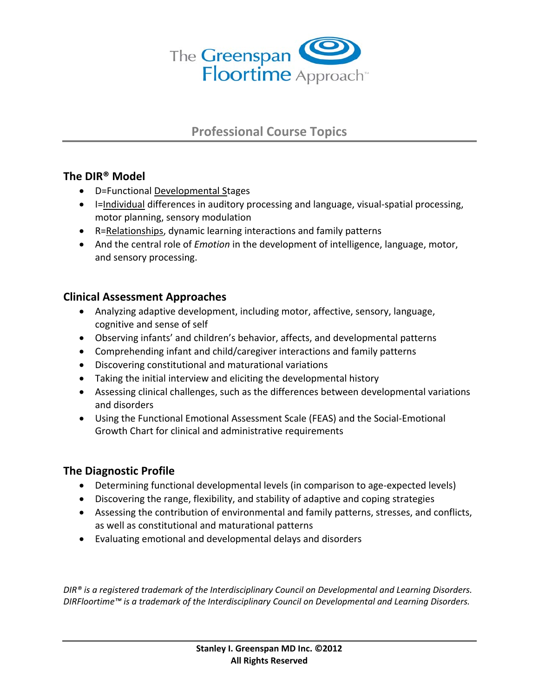

# **Professional Course Topics**

## **The DIR® Model**

- D=Functional Developmental Stages
- I=Individual differences in auditory processing and language, visual‐spatial processing, motor planning, sensory modulation
- R=Relationships, dynamic learning interactions and family patterns
- And the central role of *Emotion* in the development of intelligence, language, motor, and sensory processing.

## **Clinical Assessment Approaches**

- Analyzing adaptive development, including motor, affective, sensory, language, cognitive and sense of self
- Observing infants' and children's behavior, affects, and developmental patterns
- Comprehending infant and child/caregiver interactions and family patterns
- Discovering constitutional and maturational variations
- Taking the initial interview and eliciting the developmental history
- Assessing clinical challenges, such as the differences between developmental variations and disorders
- Using the Functional Emotional Assessment Scale (FEAS) and the Social‐Emotional Growth Chart for clinical and administrative requirements

## **The Diagnostic Profile**

- Determining functional developmental levels (in comparison to age‐expected levels)
- Discovering the range, flexibility, and stability of adaptive and coping strategies
- Assessing the contribution of environmental and family patterns, stresses, and conflicts, as well as constitutional and maturational patterns
- Evaluating emotional and developmental delays and disorders

*DIR® is a registered trademark of the Interdisciplinary Council on Developmental and Learning Disorders. DIRFloortime™ is a trademark of the Interdisciplinary Council on Developmental and Learning Disorders.*